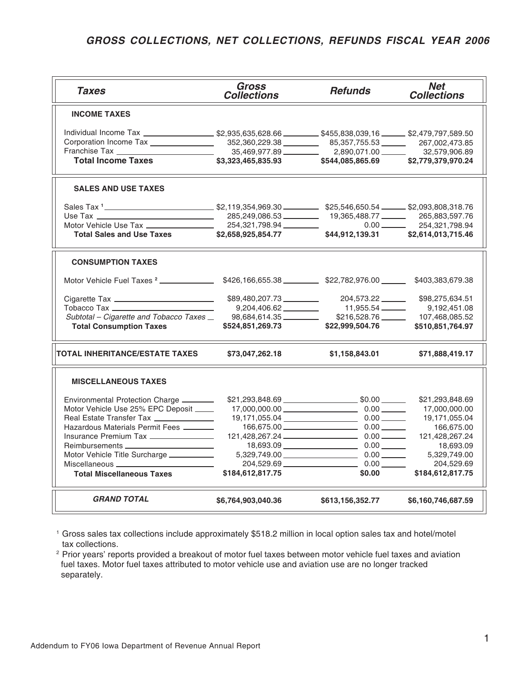## *GROSS COLLECTIONS, NET COLLECTIONS, REFUNDS FISCAL YEAR 2006*

| <b>Taxes</b>                                                                                                                 | Gross<br><b>Collections</b> | <b>Refunds</b>                                                                            | <b>Net</b><br><b>Collections</b> |
|------------------------------------------------------------------------------------------------------------------------------|-----------------------------|-------------------------------------------------------------------------------------------|----------------------------------|
| <b>INCOME TAXES</b>                                                                                                          |                             |                                                                                           |                                  |
| Individual Income Tax _____________________\$2,935,635,628.66 ___________\$455,838,039,16 _______\$2,479,797,589.50          |                             |                                                                                           |                                  |
| Corporation Income Tax ________________                                                                                      |                             | 352,360,229.38 65,357,755.53 267,002,473.85                                               |                                  |
|                                                                                                                              |                             | $35,469,977.89 \ \_ \ \_ \ \_ \ \  \  \, 2,890,071.00 \ \_ \ \_ \ \  \  \, 32,579,906.89$ |                                  |
| <b>Total Income Taxes</b>                                                                                                    |                             |                                                                                           |                                  |
| <b>SALES AND USE TAXES</b>                                                                                                   |                             |                                                                                           |                                  |
|                                                                                                                              |                             |                                                                                           |                                  |
|                                                                                                                              |                             | 285,249,086.53 19,365,488.77 265,883,597.76                                               |                                  |
| Motor Vehicle Use Tax _________________                                                                                      |                             |                                                                                           | $0.00$ 254,321,798.94            |
|                                                                                                                              |                             |                                                                                           |                                  |
| <b>CONSUMPTION TAXES</b>                                                                                                     |                             |                                                                                           |                                  |
| Motor Vehicle Fuel Taxes <sup>2</sup> __________________\$426,166,655.38 ___________\$22,782,976.00 ________\$403,383,679.38 |                             |                                                                                           |                                  |
| Cigarette Tax _______________________________                                                                                |                             | \$89,480,207.73 204,573.22 \$98,275,634.51                                                |                                  |
| Tobacco Tax                                                                                                                  | 9,204,406.62 ________       | 11,955.54 _______                                                                         | 9,192,451.08                     |
| Subtotal – Cigarette and Tobacco Taxes _                                                                                     | 98,684,614.35               |                                                                                           | \$216,528.76 107,468,085.52      |
| <b>Total Consumption Taxes</b>                                                                                               | \$524,851,269.73            | \$22,999,504.76                                                                           | \$510,851,764.97                 |
| TOTAL INHERITANCE/ESTATE TAXES                                                                                               | \$73,047,262.18             | \$1,158,843.01                                                                            | \$71,888,419.17                  |
| <b>MISCELLANEOUS TAXES</b>                                                                                                   |                             |                                                                                           |                                  |
| Environmental Protection Charge                                                                                              |                             | $$21,293,848.69$ $$0.00$ $$0.00$                                                          | \$21,293,848.69                  |
| Motor Vehicle Use 25% EPC Deposit _____                                                                                      |                             |                                                                                           | 17,000,000.00                    |
| Real Estate Transfer Tax ______________                                                                                      |                             | 19,171,055.04 0.00 0.00                                                                   | 19,171,055.04                    |
| Hazardous Materials Permit Fees                                                                                              |                             | $166,675.00$ 0.00                                                                         | 166,675.00                       |
| Insurance Premium Tax ________________                                                                                       |                             | $121,428,267.24$ 0.00 0.00                                                                | 121,428,267.24                   |
| Reimbursements _________________________                                                                                     |                             | $18,693.09$ 0.00 0.00                                                                     | 18,693.09                        |
| Motor Vehicle Title Surcharge __________                                                                                     |                             | $5,329,749.00$ 0.00 0.00                                                                  | 5,329,749.00                     |
| Miscellaneous ___________________________                                                                                    |                             |                                                                                           | 204,529.69                       |
| <b>Total Miscellaneous Taxes</b>                                                                                             | \$184,612,817.75            | \$0.00                                                                                    | \$184,612,817.75                 |
| <b>GRAND TOTAL</b>                                                                                                           | \$6,764,903,040.36          | \$613,156,352.77                                                                          | \$6,160,746,687.59               |

<sup>1</sup> Gross sales tax collections include approximately \$518.2 million in local option sales tax and hotel/motel tax collections.

<sup>2</sup> Prior years' reports provided a breakout of motor fuel taxes between motor vehicle fuel taxes and aviation fuel taxes. Motor fuel taxes attributed to motor vehicle use and aviation use are no longer tracked separately.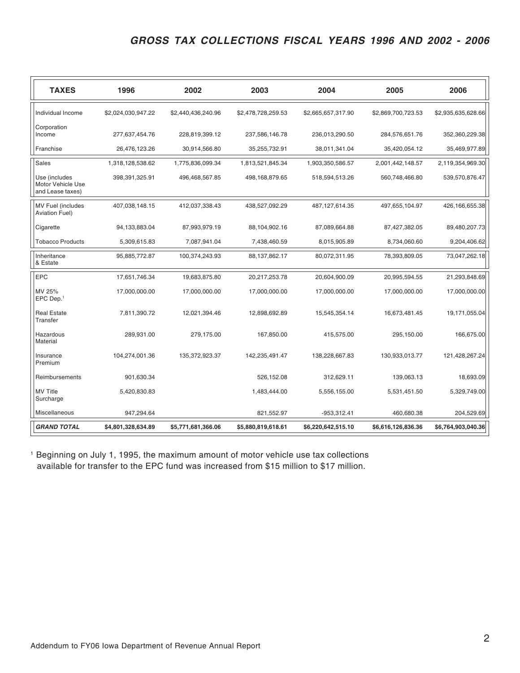## *GROSS TAX COLLECTIONS FISCAL YEARS 1996 AND 2002 - 2006*

| <b>TAXES</b>                                           | 1996               | 2002               | 2003               | 2004               | 2005               | 2006               |
|--------------------------------------------------------|--------------------|--------------------|--------------------|--------------------|--------------------|--------------------|
| Individual Income                                      | \$2,024,030,947.22 | \$2,440,436,240.96 | \$2,478,728,259.53 | \$2,665,657,317.90 | \$2,869,700,723.53 | \$2,935,635,628.66 |
| Corporation<br>Income                                  | 277,637,454.76     | 228,819,399.12     | 237,586,146.78     | 236,013,290.50     | 284,576,651.76     | 352,360,229.38     |
| Franchise                                              | 26,476,123.26      | 30,914,566.80      | 35,255,732.91      | 38,011,341.04      | 35,420,054.12      | 35,469,977.89      |
| Sales                                                  | 1,318,128,538.62   | 1,775,836,099.34   | 1,813,521,845.34   | 1,903,350,586.57   | 2,001,442,148.57   | 2,119,354,969.30   |
| Use (includes<br>Motor Vehicle Use<br>and Lease taxes) | 398,391,325.91     | 496,468,567.85     | 498,168,879.65     | 518,594,513.26     | 560,748,466.80     | 539,570,876.47     |
| <b>MV Fuel (includes</b><br><b>Aviation Fuel)</b>      | 407,038,148.15     | 412,037,338.43     | 438,527,092.29     | 487, 127, 614. 35  | 497,655,104.97     | 426, 166, 655. 38  |
| Cigarette                                              | 94,133,883.04      | 87,993,979.19      | 88,104,902.16      | 87,089,664.88      | 87,427,382.05      | 89,480,207.73      |
| <b>Tobacco Products</b>                                | 5,309,615.83       | 7,087,941.04       | 7,438,460.59       | 8,015,905.89       | 8,734,060.60       | 9,204,406.62       |
| Inheritance<br>& Estate                                | 95,885,772.87      | 100,374,243.93     | 88,137,862.17      | 80,072,311.95      | 78,393,809.05      | 73,047,262.18      |
| <b>EPC</b>                                             | 17,651,746.34      | 19,683,875.80      | 20,217,253.78      | 20,604,900.09      | 20,995,594.55      | 21,293,848.69      |
| MV 25%<br>$EPC$ Dep. <sup>1</sup>                      | 17,000,000.00      | 17,000,000.00      | 17,000,000.00      | 17,000,000.00      | 17,000,000.00      | 17,000,000.00      |
| <b>Real Estate</b><br>Transfer                         | 7,811,390.72       | 12,021,394.46      | 12,898,692.89      | 15,545,354.14      | 16,673,481.45      | 19,171,055.04      |
| Hazardous<br>Material                                  | 289,931.00         | 279,175.00         | 167,850.00         | 415,575.00         | 295,150.00         | 166,675.00         |
| Insurance<br>Premium                                   | 104,274,001.36     | 135,372,923.37     | 142,235,491.47     | 138,228,667.83     | 130,933,013.77     | 121,428,267.24     |
| Reimbursements                                         | 901,630.34         |                    | 526,152.08         | 312,629.11         | 139,063.13         | 18,693.09          |
| <b>MV Title</b><br>Surcharge                           | 5,420,830.83       |                    | 1,483,444.00       | 5,556,155.00       | 5,531,451.50       | 5,329,749.00       |
| Miscellaneous                                          | 947,294.64         |                    | 821,552.97         | -953,312.41        | 460,680.38         | 204,529.69         |
| <b>GRAND TOTAL</b>                                     | \$4,801,328,634.89 | \$5,771,681,366.06 | \$5,880,819,618.61 | \$6,220,642,515.10 | \$6,616,126,836.36 | \$6,764,903,040.36 |

<sup>1</sup> Beginning on July 1, 1995, the maximum amount of motor vehicle use tax collections available for transfer to the EPC fund was increased from \$15 million to \$17 million.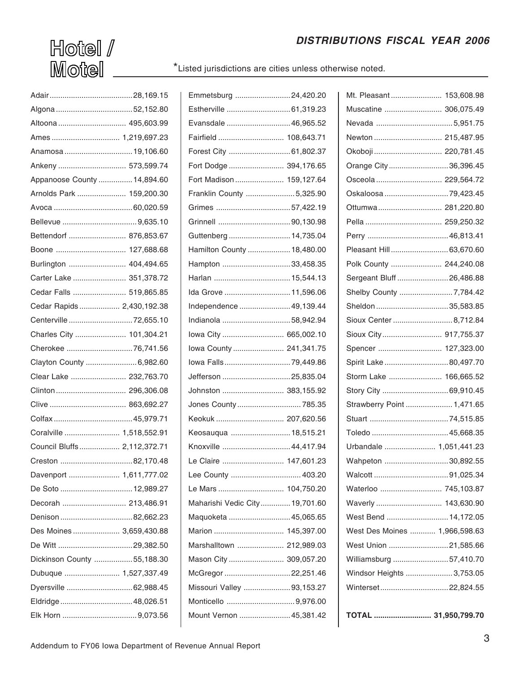## *DISTRIBUTIONS FISCAL YEAR 2006*

 $H$ otel  $/$  $M$ otel $\_\_$ 

\*Listed jurisdictions are cities unless otherwise noted.

| Anamosa  19,106.60          |  |
|-----------------------------|--|
| Ankeny  573,599.74          |  |
| Appanoose County  14,894.60 |  |
| Arnolds Park  159,200.30    |  |
|                             |  |
|                             |  |
| Bettendorf  876,853.67      |  |
| Boone  127,688.68           |  |
| Burlington  404,494.65      |  |
| Carter Lake  351,378.72     |  |
| Cedar Falls  519,865.85     |  |
| Cedar Rapids  2,430,192.38  |  |
| Centerville72,655.10        |  |
| Charles City  101,304.21    |  |
|                             |  |
|                             |  |
| Clayton County  6,982.60    |  |
| Clear Lake  232,763.70      |  |
|                             |  |
|                             |  |
|                             |  |
| Coralville  1,518,552.91    |  |
| Council Bluffs 2,112,372.71 |  |
|                             |  |
| Davenport  1,611,777.02     |  |
| De Soto  12,989.27          |  |
| Decorah  213,486.91         |  |
|                             |  |
| Des Moines  3,659,430.88    |  |
|                             |  |
| Dickinson County 55,188.30  |  |
| Dubuque  1,527,337.49       |  |
| Dyersville  62,988.45       |  |
|                             |  |

| Emmetsburg 24,420.20           |  |
|--------------------------------|--|
| Estherville  61,319.23         |  |
| Evansdale  46,965.52           |  |
| Fairfield  108,643.71          |  |
| Forest City  61,802.37         |  |
| Fort Dodge  394,176.65         |  |
| Fort Madison  159,127.64       |  |
| Franklin County 5,325.90       |  |
| Grimes 57,422.19               |  |
|                                |  |
| Guttenberg  14,735.04          |  |
| Hamilton County  18,480.00     |  |
| Hampton 33,458.35              |  |
| Harlan  15,544.13              |  |
| Ida Grove  11,596.06           |  |
| Independence  49,139.44        |  |
| Indianola 58,942.94            |  |
| lowa City  665,002.10          |  |
| lowa County  241,341.75        |  |
| lowa Falls79,449.86            |  |
| Jefferson 25,835.04            |  |
| Johnston  383,155.92           |  |
| Jones County  785.35           |  |
| Keokuk  207,620.56             |  |
| Keosauqua  18,515.21           |  |
| Knoxville  44,417.94           |  |
| Le Claire  147,601.23          |  |
| Lee County  403.20             |  |
| Le Mars  104,750.20            |  |
| Maharishi Vedic City 19,701.60 |  |
| Maquoketa  45,065.65           |  |
| Marion  145,397.00             |  |
| Marshalltown  212,989.03       |  |
| Mason City  309,057.20         |  |
| McGregor 22,251.46             |  |
| Missouri Valley 93,153.27      |  |
|                                |  |
| Mount Vernon  45,381.42        |  |
|                                |  |

| Mt. Pleasant 153,608.98       |  |
|-------------------------------|--|
| Muscatine  306,075.49         |  |
|                               |  |
| Newton  215,487.95            |  |
| Okoboji  220,781.45           |  |
| Orange City36,396.45          |  |
| Osceola  229,564.72           |  |
| Oskaloosa 79,423.45           |  |
| Ottumwa 281,220.80            |  |
|                               |  |
|                               |  |
| Pleasant Hill 63,670.60       |  |
| Polk County  244,240.08       |  |
| Sergeant Bluff 26,486.88      |  |
| Shelby County 7,784.42        |  |
| Sheldon 35,583.85             |  |
| Sioux Center  8,712.84        |  |
| Sioux City 917,755.37         |  |
| Spencer  127,323.00           |  |
| Spirit Lake80,497.70          |  |
| Storm Lake  166,665.52        |  |
| Story City 69,910.45          |  |
| Strawberry Point  1,471.65    |  |
|                               |  |
|                               |  |
| Urbandale  1,051,441.23       |  |
| Wahpeton 30,892.55            |  |
|                               |  |
| Waterloo  745,103.87          |  |
| Waverly  143,630.90           |  |
| West Bend  14,172.05          |  |
| West Des Moines  1,966,598.63 |  |
| West Union 21,585.66          |  |
| Williamsburg 57,410.70        |  |
| Windsor Heights  3,753.05     |  |
| Winterset22,824.55            |  |
|                               |  |

**TOTAL ........................... 31,950,799.70**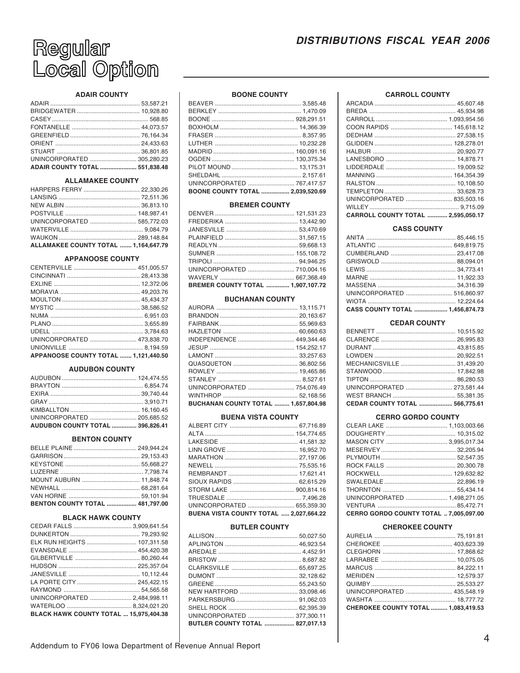## **DISTRIBUTIONS FISCAL YEAR 2006**



## **ADAIR COUNTY**

| ADAIR COUNTY TOTAL  551,838.48 |  |
|--------------------------------|--|

#### **ALLAMAKEE COUNTY**

| ALLAMAKEE COUNTY TOTAL  1,164,647.79 |  |
|--------------------------------------|--|

## **APPANOOSE COUNTY**

| APPANOOSE COUNTY TOTAL  1.121.440.50 |  |
|--------------------------------------|--|

## **AUDUBON COUNTY**

| UNINCORPORATED  205,685.52              |  |
|-----------------------------------------|--|
| <b>AUDUBON COUNTY TOTAL  396.826.41</b> |  |

#### **BENTON COUNTY**

| BENTON COUNTY TOTAL  481,797.00 |  |
|---------------------------------|--|

#### **BLACK HAWK COUNTY**

| UNINCORPORATED  2,484,998.11           |  |
|----------------------------------------|--|
|                                        |  |
| BLACK HAWK COUNTY TOTAL  15,975,404.38 |  |

## **BOONE COUNTY**

| UNINCORPORATED  767,417.57       |  |
|----------------------------------|--|
| BOONE COUNTY TOTAL  2.039.520.69 |  |

#### **BREMER COUNTY**

| UNINCORPORATED  710.004.16               |  |
|------------------------------------------|--|
|                                          |  |
| <b>BREMER COUNTY TOTAL  1.907.107.72</b> |  |

#### **BUCHANAN COUNTY**

| INDEPENDENCE  449,344.46                   |  |
|--------------------------------------------|--|
|                                            |  |
|                                            |  |
|                                            |  |
|                                            |  |
|                                            |  |
| UNINCORPORATED  754,076.49                 |  |
|                                            |  |
| <b>BUCHANAN COUNTY TOTAL  1,657,804.98</b> |  |

#### **BUENA VISTA COUNTY**

| UNINCORPORATED  655,359.30             |  |
|----------------------------------------|--|
| BUENA VISTA COUNTY TOTAL  2,027,664.22 |  |

#### **BUTLER COUNTY**

| UNINCORPORATED  377,300.11      |  |
|---------------------------------|--|
| BUTLER COUNTY TOTAL  827,017.13 |  |

#### **CARROLL COUNTY**

| CARROLL COUNTY TOTAL  2,595,050.17 |  |
|------------------------------------|--|
|                                    |  |
| UNINCORPORATED  835,503.16         |  |
|                                    |  |
|                                    |  |
|                                    |  |
|                                    |  |
|                                    |  |
|                                    |  |
|                                    |  |
|                                    |  |
|                                    |  |
|                                    |  |
|                                    |  |
|                                    |  |
|                                    |  |

#### **CASS COUNTY**

| CASS COUNTY TOTAL  1,456,874.73 |  |
|---------------------------------|--|
|                                 |  |
|                                 |  |
|                                 |  |
|                                 |  |
|                                 |  |
|                                 |  |
|                                 |  |
|                                 |  |
|                                 |  |

## **CEDAR COUNTY**

| CEDAR COUNTY TOTAL  566,775.61 |  |
|--------------------------------|--|
|                                |  |
| UNINCORPORATED  273,581.44     |  |
|                                |  |
|                                |  |
|                                |  |
|                                |  |
|                                |  |
|                                |  |
|                                |  |
|                                |  |

## **CERRO GORDO COUNTY**

| UNINCORPORATED  1,498,271.05           |  |
|----------------------------------------|--|
|                                        |  |
| CERRO GORDO COUNTY TOTAL  7.005.097.00 |  |

#### **CHEROKEE COUNTY**

| CHEROKEE COUNTY TOTAL  1,083,419.53 |  |
|-------------------------------------|--|
|                                     |  |
| UNINCORPORATED  435,548.19          |  |
|                                     |  |
|                                     |  |
|                                     |  |
|                                     |  |
|                                     |  |
|                                     |  |
|                                     |  |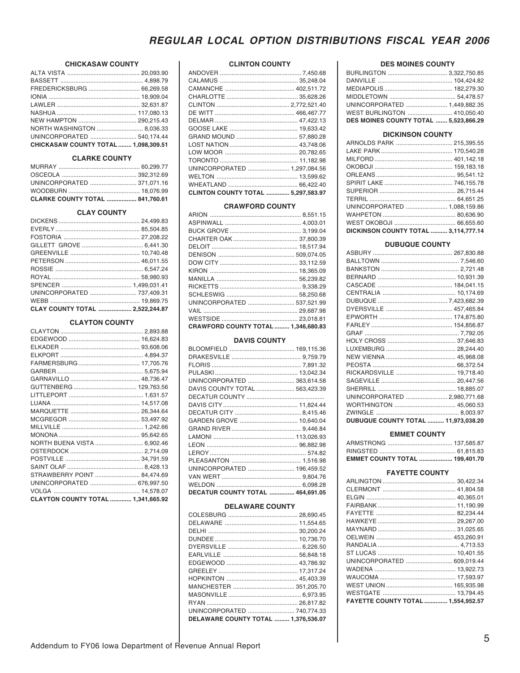## **CHICKASAW COUNTY**

| NEW HAMPTON  290,215.43              |  |
|--------------------------------------|--|
|                                      |  |
|                                      |  |
| CHICKASAW COUNTY TOTAL  1.098.309.51 |  |

## **CLARKE COUNTY**

| UNINCORPORATED  371,071.16      |  |
|---------------------------------|--|
|                                 |  |
| CLARKE COUNTY TOTAL  841,760.61 |  |

#### **CLAY COUNTY**

| UNINCORPORATED  737,409.31 |           |
|----------------------------|-----------|
|                            |           |
| CLAV COUNTY TOTAL          | 252224487 |

## **CLAYTON COUNTY**

| NORTH BUENA VISTA  6,902.46        |  |
|------------------------------------|--|
|                                    |  |
|                                    |  |
|                                    |  |
| STRAWBERRY POINT  84,474.69        |  |
| UNINCORPORATED  676,997.50         |  |
|                                    |  |
| CLAYTON COUNTY TOTAL  1,341,665.92 |  |

## **CLINTON COUNTY**

| UNINCORPORATED  1,297,084.56       |  |
|------------------------------------|--|
|                                    |  |
|                                    |  |
| CLINTON COUNTY TOTAL  5,297,583.97 |  |

#### **CRAWFORD COUNTY**

| UNINCORPORATED  537,521.99          |  |
|-------------------------------------|--|
|                                     |  |
|                                     |  |
| CRAWFORD COUNTY TOTAL  1,346,680.83 |  |

## **DAVIS COUNTY**

| UNINCORPORATED  363,614.58       |  |
|----------------------------------|--|
| DAVIS COUNTY TOTAL  563,423.39   |  |
|                                  |  |
|                                  |  |
|                                  |  |
| GARDEN GROVE  10,640.04          |  |
|                                  |  |
|                                  |  |
|                                  |  |
|                                  |  |
|                                  |  |
| UNINCORPORATED  196,459.52       |  |
|                                  |  |
|                                  |  |
| DECATUR COUNTY TOTAL  464.691.05 |  |

#### **DELAWARE COUNTY**

| UNINCORPORATED  740,774.33          |  |
|-------------------------------------|--|
| DELAWARE COUNTY TOTAL  1.376.536.07 |  |

#### **DES MOINES COUNTY**

| UNINCORPORATED  1.449.882.35                 |  |
|----------------------------------------------|--|
| WEST BURLINGTON  410,050.40                  |  |
| <b>DES MOINES COUNTY TOTAL  5.523.866.29</b> |  |

#### **DICKINSON COUNTY**

| ARNOLDS PARK  215,395.55             |  |
|--------------------------------------|--|
|                                      |  |
|                                      |  |
|                                      |  |
|                                      |  |
|                                      |  |
|                                      |  |
|                                      |  |
| UNINCORPORATED  1,088,159.86         |  |
|                                      |  |
|                                      |  |
| DICKINSON COUNTY TOTAL  3,114,777.14 |  |

#### **DUBUQUE COUNTY**

| UNINCORPORATED  2,980,771.68               |  |
|--------------------------------------------|--|
|                                            |  |
|                                            |  |
| <b>DUBUQUE COUNTY TOTAL  11,973,038.20</b> |  |

## **EMMET COUNTY**

| EMMET COUNTY TOTAL  199,401.70 |  |
|--------------------------------|--|

# **FAYETTE COUNTY**

| FAYETTE COUNTY TOTAL  1,554,952.57 |  |
|------------------------------------|--|
|                                    |  |
|                                    |  |
|                                    |  |
|                                    |  |
| UNINCORPORATED  609,019.44         |  |
|                                    |  |
|                                    |  |
|                                    |  |
|                                    |  |
|                                    |  |
|                                    |  |
|                                    |  |
|                                    |  |
|                                    |  |
|                                    |  |

 $\frac{1}{2}$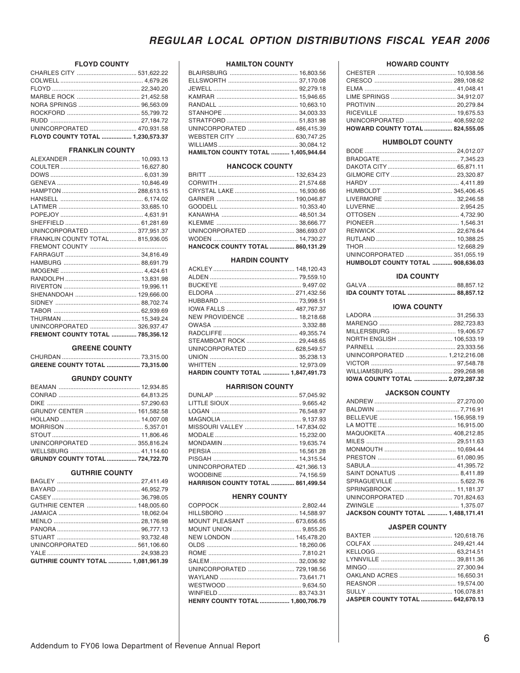## **FLOYD COUNTY**

| UNINCORPORATED  470,931.58       |  |
|----------------------------------|--|
| FLOYD COUNTY TOTAL  1,230,573.37 |  |

#### **FRANKLIN COUNTY**

| UNINCORPORATED  377.951.37              |  |
|-----------------------------------------|--|
| FRANKLIN COUNTY TOTAL  815.936.05       |  |
|                                         |  |
|                                         |  |
|                                         |  |
|                                         |  |
|                                         |  |
|                                         |  |
|                                         |  |
|                                         |  |
|                                         |  |
|                                         |  |
| UNINCORPORATED  326,937.47              |  |
| <b>FREMONT COUNTY TOTAL  785.356.12</b> |  |

#### **GREENE COUNTY**

| <b>GREENE COUNTY TOTAL  73,315.00</b> |  |
|---------------------------------------|--|

## **GRUNDY COUNTY**

| GRUNDY CENTER  161,582.58       |  |
|---------------------------------|--|
|                                 |  |
|                                 |  |
|                                 |  |
|                                 |  |
|                                 |  |
| GRUNDY COUNTY TOTAL  724,722.70 |  |

#### **GUTHRIE COUNTY**

| GUTHRIE CENTER  148,005.60                |  |
|-------------------------------------------|--|
|                                           |  |
|                                           |  |
|                                           |  |
|                                           |  |
| UNINCORPORATED  561.106.60                |  |
|                                           |  |
| <b>GUTHRIE COUNTY TOTAL  1.081.961.39</b> |  |
|                                           |  |

### **HAMILTON COUNTY**

| <b>HAMILTON COUNTY TOTAL  1,405,944.64</b> |  |
|--------------------------------------------|--|
|                                            |  |
|                                            |  |
|                                            |  |
|                                            |  |
|                                            |  |
|                                            |  |
|                                            |  |
|                                            |  |
|                                            |  |
|                                            |  |

#### **HANCOCK COUNTY**

| UNINCORPORATED  386,693.07       |  |
|----------------------------------|--|
|                                  |  |
| HANCOCK COUNTY TOTAL  860,131.29 |  |
|                                  |  |

#### **HARDIN COUNTY**

| NEW PROVIDENCE  18,218.68         |  |
|-----------------------------------|--|
|                                   |  |
|                                   |  |
| STEAMBOAT ROCK  29,448.65         |  |
| UNINCORPORATED  628,549.57        |  |
|                                   |  |
|                                   |  |
| HARDIN COUNTY TOTAL  1,847,491.73 |  |

### **HARRISON COUNTY**

| HARRISON COUNTY TOTAL  861,499.54 |  |
|-----------------------------------|--|
|                                   |  |
| UNINCORPORATED  421.366.13        |  |
|                                   |  |
|                                   |  |
|                                   |  |
|                                   |  |
| MISSOURI VALLEY  147.834.02       |  |
|                                   |  |
|                                   |  |
|                                   |  |
|                                   |  |

## **HENRY COUNTY**

| MOUNT PLEASANT  673.656.65       |  |
|----------------------------------|--|
|                                  |  |
|                                  |  |
|                                  |  |
|                                  |  |
|                                  |  |
|                                  |  |
|                                  |  |
|                                  |  |
|                                  |  |
| HENRY COUNTY TOTAL  1,800,706.79 |  |

### **HOWARD COUNTY**

| <b>HOWARD COUNTY TOTAL  824,555.05</b> |  |
|----------------------------------------|--|
| UNINCORPORATED  408.592.02             |  |
|                                        |  |
|                                        |  |
|                                        |  |
|                                        |  |
|                                        |  |
|                                        |  |

#### **HUMBOLDT COUNTY**

| UNINCORPORATED  351.055.19               |  |
|------------------------------------------|--|
| <b>HUMBOLDT COUNTY TOTAL  908,636.03</b> |  |
|                                          |  |

## **IDA COUNTY**

| IDA COUNTY TOTAL  88,857.12 |  |
|-----------------------------|--|

## **IOWA COUNTY**

| NORTH ENGLISH  106,533.19       |  |
|---------------------------------|--|
|                                 |  |
| UNINCORPORATED  1,212,216.08    |  |
|                                 |  |
| WILLIAMSBURG  299,268.98        |  |
| IOWA COUNTY TOTAL  2,072,287.32 |  |
|                                 |  |

#### **JACKSON COUNTY**

| UNINCORPORATED  701,824.63         |  |
|------------------------------------|--|
|                                    |  |
| JACKSON COUNTY TOTAL  1,488,171.41 |  |

#### **JASPER COUNTY**

| <b>JASPER COUNTY TOTAL  642.670.13</b> |  |
|----------------------------------------|--|
|                                        |  |
|                                        |  |
| OAKLAND ACRES  16,650.31               |  |
|                                        |  |
|                                        |  |
|                                        |  |
|                                        |  |
|                                        |  |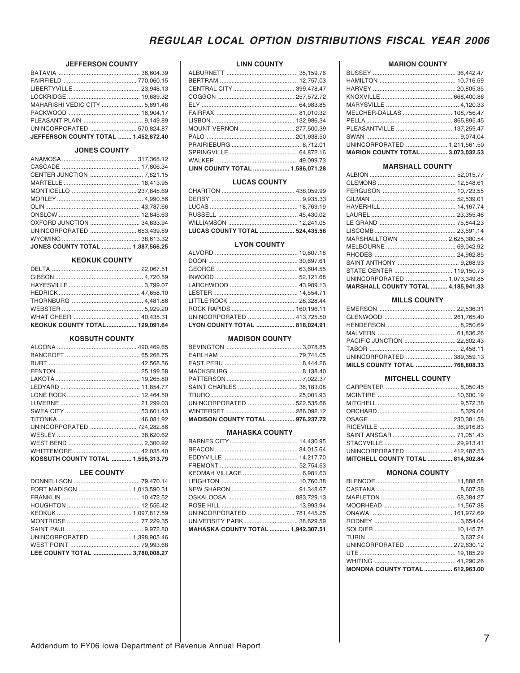## **JEFFERSON COUNTY**

| MAHARISHI VEDIC CITY  5,691.48       |  |
|--------------------------------------|--|
|                                      |  |
|                                      |  |
| UNINCORPORATED  570,824.87           |  |
| JEFFERSON COUNTY TOTAL  1,452,872.40 |  |

## **JONES COUNTY**

| <b>JONES COUNTY TOTAL  1,387,566.25</b> |  |
|-----------------------------------------|--|

#### **KEOKUK COUNTY**

| KEOKUK COUNTY TOTAL  129,091.64 |  |
|---------------------------------|--|

## **KOSSUTH COUNTY**

| UNINCORPORATED  724,282.86         |  |
|------------------------------------|--|
|                                    |  |
|                                    |  |
|                                    |  |
| KOSSUTH COUNTY TOTAL  1.595.313.79 |  |

#### **LEE COUNTY**

| FORT MADISON  1,013,590.31     |  |
|--------------------------------|--|
|                                |  |
|                                |  |
|                                |  |
|                                |  |
|                                |  |
| UNINCORPORATED  1,398,905.46   |  |
|                                |  |
| LEE COUNTY TOTAL  3,780,008.27 |  |
|                                |  |

## **LINN COUNTY**

| MOUNT VERNON  277,500.39        |  |
|---------------------------------|--|
|                                 |  |
|                                 |  |
|                                 |  |
|                                 |  |
| LINN COUNTY TOTAL  1,586,071.28 |  |
|                                 |  |

## **LUCAS COUNTY**

| <b>LUCAS COUNTY TOTAL  524,435.58</b> |  |
|---------------------------------------|--|
|                                       |  |
|                                       |  |
|                                       |  |
|                                       |  |
|                                       |  |

## **LYON COUNTY**

| UNINCORPORATED  413,725.50    |  |
|-------------------------------|--|
| LYON COUNTY TOTAL  818,024.91 |  |
|                               |  |

#### **MADISON COUNTY**

| UNINCORPORATED  522.535.66              |  |
|-----------------------------------------|--|
|                                         |  |
| <b>MADISON COUNTY TOTAL  976.237.72</b> |  |

#### **MAHASKA COUNTY**

| UNINCORPORATED  781,445.25                |
|-------------------------------------------|
| UNIVERSITY PARK  38,629.59                |
| <b>MAHASKA COUNTY TOTAL  1,942,307.51</b> |
|                                           |

## **MARION COUNTY**

| <b>MARION COUNTY TOTAL  3.073.032.53</b> |  |
|------------------------------------------|--|
| UNINCORPORATED  1,211,561.50             |  |
|                                          |  |
|                                          |  |
|                                          |  |
| MELCHER-DALLAS  108.756.47               |  |
|                                          |  |
|                                          |  |
|                                          |  |
|                                          |  |
|                                          |  |

#### **MARSHALL COUNTY**

| MARSHALLTOWN  2,625,380.54                 |  |
|--------------------------------------------|--|
|                                            |  |
|                                            |  |
|                                            |  |
|                                            |  |
| UNINCORPORATED  1.073.349.85               |  |
| <b>MARSHALL COUNTY TOTAL  4,185,941.33</b> |  |

## **MILLS COUNTY**

| UNINCORPORATED  389,359.13     |  |
|--------------------------------|--|
| MILLS COUNTY TOTAL  768.808.33 |  |

## **MITCHELL COUNTY**

| UNINCORPORATED  412.487.53        |  |
|-----------------------------------|--|
| MITCHELL COUNTY TOTAL  814,302.84 |  |

## **MONONA COUNTY**

| JNINCORPORATED  272,630.12             |  |
|----------------------------------------|--|
|                                        |  |
|                                        |  |
| <b>MONONA COUNTY TOTAL  612.963.00</b> |  |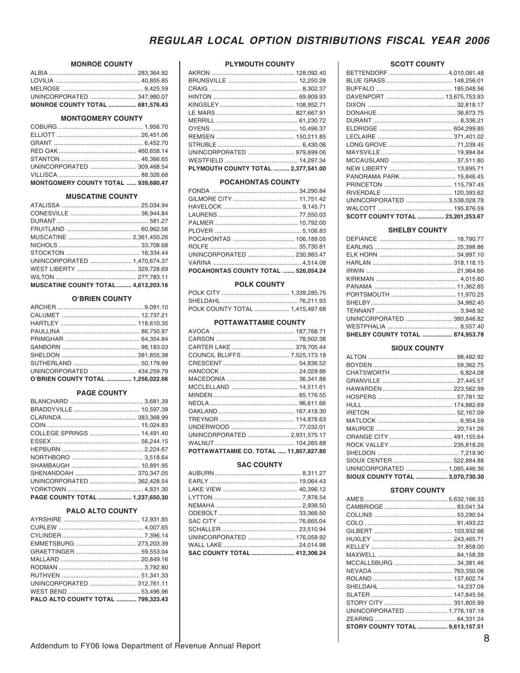## **MONROE COUNTY**

| UNINCORPORATED  347,980.07             |  |
|----------------------------------------|--|
| <b>MONROE COUNTY TOTAL  681,576.43</b> |  |

#### **MONTGOMERY COUNTY**

| UNINCORPORATED  309.468.54          |  |
|-------------------------------------|--|
|                                     |  |
| MONTGOMERY COUNTY TOTAL  939,680.47 |  |

## **MUSCATINE COUNTY**

| UNINCORPORATED  1,470,674.37                |  |
|---------------------------------------------|--|
|                                             |  |
|                                             |  |
| <b>MUSCATINE COUNTY TOTAL  4,613,203.16</b> |  |

#### **O'BRIEN COUNTY**

| O'RRIEN COLINTY TOTAL 1956 022 66 |  |
|-----------------------------------|--|

## **PAGE COUNTY**

| UNINCORPORATED  362.428.54      |  |
|---------------------------------|--|
|                                 |  |
| PAGE COUNTY TOTAL  1,237,650.30 |  |

#### PALO ALTO COUNTY

| UNINCORPORATED  312.761.11         |  |
|------------------------------------|--|
|                                    |  |
| PALO ALTO COUNTY TOTAL  799.323.43 |  |

### **PLYMOUTH COUNTY**

| UNINCORPORATED  979,699.06          |  |
|-------------------------------------|--|
|                                     |  |
| PLYMOUTH COUNTY TOTAL  2,377,541.00 |  |

## **POCAHONTAS COUNTY**

| POCAHONTAS COUNTY TOTAL  526,054.24 |  |
|-------------------------------------|--|
|                                     |  |
| UNINCORPORATED  230,983.47          |  |
|                                     |  |
|                                     |  |
|                                     |  |
|                                     |  |
|                                     |  |
|                                     |  |
|                                     |  |
|                                     |  |

#### **POLK COUNTY**

| POLK COUNTY TOTAL  1,415,497.68 |  |
|---------------------------------|--|

## POTTAWATTAMIE COUNTY

| UNINCORPORATED  2,931,575.17           |  |
|----------------------------------------|--|
|                                        |  |
| POTTAWATTAMIE CO. TOTAL  11,857,827.80 |  |

## **SAC COUNTY**

| UNINCORPORATED  176,059.92   |  |
|------------------------------|--|
|                              |  |
| SAC COUNTY TOTAL  412,306.24 |  |

## **SCOTT COUNTY**

| BETTENDORF  4,010,081.48          |  |
|-----------------------------------|--|
|                                   |  |
|                                   |  |
| DAVENPORT  13,675,753.93          |  |
|                                   |  |
|                                   |  |
|                                   |  |
|                                   |  |
|                                   |  |
|                                   |  |
|                                   |  |
|                                   |  |
|                                   |  |
| PANORAMA PARK  15,846.45          |  |
|                                   |  |
|                                   |  |
| UNINCORPORATED  3,538,028.78      |  |
|                                   |  |
| SCOTT COUNTY TOTAL  23,201,253.67 |  |

## **SHELBY COUNTY**

| UNINCORPORATED  380.846.82      |  |
|---------------------------------|--|
|                                 |  |
| SHELBY COUNTY TOTAL  874,953.78 |  |

#### **SIOUX COUNTY**

| UNINCORPORATED  1,085,446.36     |  |
|----------------------------------|--|
| SIOUX COUNTY TOTAL  3,070,730.30 |  |

#### **STORY COUNTY**

| UNINCORPORATED  1,776,197.18<br>STORY COUNTY TOTAL  9,613,157.51 |  |
|------------------------------------------------------------------|--|
|                                                                  |  |
|                                                                  |  |
|                                                                  |  |
|                                                                  |  |
|                                                                  |  |
|                                                                  |  |
|                                                                  |  |
|                                                                  |  |
|                                                                  |  |
|                                                                  |  |
|                                                                  |  |
|                                                                  |  |
|                                                                  |  |
|                                                                  |  |
|                                                                  |  |
|                                                                  |  |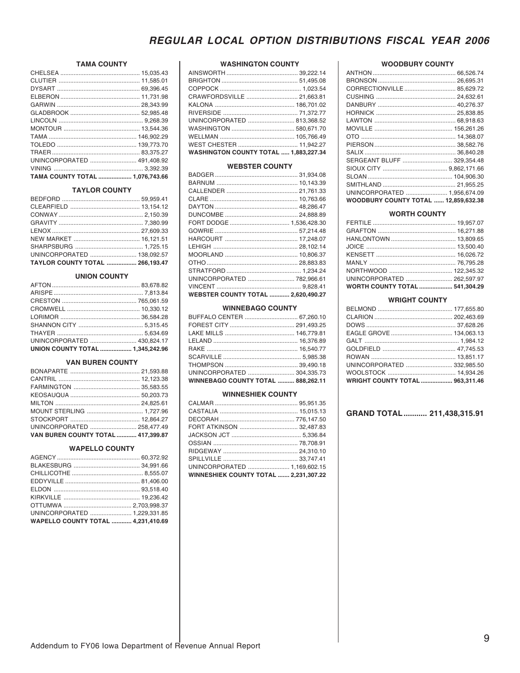## **TAMA COUNTY**

| UNINCORPORATED  491,408.92      |  |
|---------------------------------|--|
|                                 |  |
| TAMA COUNTY TOTAL  1,076,743.66 |  |

## **TAYLOR COUNTY**

| UNINCORPORATED  138,092.57             |  |
|----------------------------------------|--|
| <b>TAYLOR COUNTY TOTAL  266.193.47</b> |  |

## **UNION COUNTY**

| UNION COUNTY TOTAL  1,345,242.96 |  |
|----------------------------------|--|
| UNINCORPORATED  430.824.17       |  |
|                                  |  |
|                                  |  |
|                                  |  |
|                                  |  |
|                                  |  |
|                                  |  |
|                                  |  |

#### **VAN BUREN COUNTY**

| MOUNT STERLING  1,727.96           |  |
|------------------------------------|--|
|                                    |  |
| UNINCORPORATED  258,477.49         |  |
| VAN BUREN COUNTY TOTAL  417,399.87 |  |

#### **WAPELLO COUNTY**

| UNINCORPORATED  1.229.331.85              |  |
|-------------------------------------------|--|
| <b>WAPELLO COUNTY TOTAL  4.231.410.69</b> |  |

### **WASHINGTON COUNTY**

| CRAWFORDSVILLE  21,663.81                    |  |
|----------------------------------------------|--|
|                                              |  |
|                                              |  |
| UNINCORPORATED  813,368.52                   |  |
|                                              |  |
|                                              |  |
| WEST CHESTER  11,942.27                      |  |
| <b>WASHINGTON COUNTY TOTAL  1.883.227.34</b> |  |

#### **WEBSTER COUNTY**

| UNINCORPORATED  782,966.61                |  |
|-------------------------------------------|--|
|                                           |  |
| <b>WEBSTER COUNTY TOTAL  2,620,490.27</b> |  |

## **WINNEBAGO COUNTY**

| BUFFALO CENTER  67,260.10                 |  |
|-------------------------------------------|--|
|                                           |  |
|                                           |  |
|                                           |  |
|                                           |  |
|                                           |  |
|                                           |  |
|                                           |  |
| <b>WINNEBAGO COUNTY TOTAL  888,262.11</b> |  |

#### **WINNESHIEK COUNTY**

| UNINCORPORATED  1,169,602.15                 |  |
|----------------------------------------------|--|
| <b>WINNESHIEK COUNTY TOTAL  2.231.307.22</b> |  |

#### **WOODBURY COUNTY**

| CORRECTIONVILLE 85,629.72                   |  |
|---------------------------------------------|--|
|                                             |  |
|                                             |  |
|                                             |  |
|                                             |  |
|                                             |  |
|                                             |  |
|                                             |  |
|                                             |  |
| SERGEANT BLUFF  329.354.48                  |  |
|                                             |  |
|                                             |  |
|                                             |  |
| UNINCORPORATED  1.956.674.09                |  |
| <b>WOODBURY COUNTY TOTAL  12,859,632.38</b> |  |

### **WORTH COUNTY**

| UNINCORPORATED  262,597.97     |  |
|--------------------------------|--|
| WORTH COUNTY TOTAL  541,304.29 |  |

## **WRIGHT COUNTY**

| UNINCORPORATED  332,985.50             |  |
|----------------------------------------|--|
|                                        |  |
| <b>WRIGHT COUNTY TOTAL  963,311.46</b> |  |
|                                        |  |

## GRAND TOTAL ........... 211,438,315.91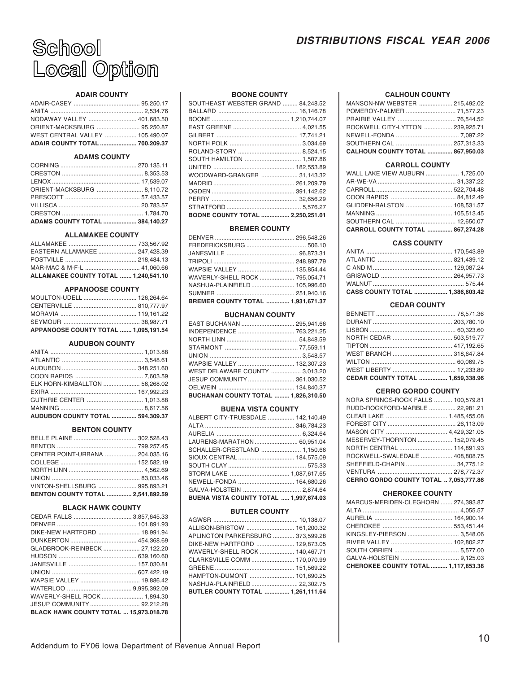

## **ADAIR COUNTY**

| ADAIR COUNTY TOTAL  700,209.37  |  |
|---------------------------------|--|
| WEST CENTRAL VALLEY  105.490.07 |  |
|                                 |  |
| NODAWAY VALLEY  401,683.50      |  |
|                                 |  |
|                                 |  |

## **ADAMS COUNTY**

| ORIENT-MACKSBURG  8,110.72     |  |
|--------------------------------|--|
|                                |  |
|                                |  |
|                                |  |
| ADAMS COUNTY TOTAL  384,140.27 |  |

#### **ALLAMAKEE COUNTY**

| ALLAMAKEE COUNTY TOTAL  1,240,541.10 |  |
|--------------------------------------|--|
|                                      |  |
|                                      |  |
| EASTERN ALLAMAKEE  247,428.39        |  |
|                                      |  |

#### **APPANOOSE COUNTY**

| APPANOOSE COUNTY TOTAL  1,095,191.54 |  |
|--------------------------------------|--|
|                                      |  |
|                                      |  |
|                                      |  |
| MOULTON-UDELL  126,264.64            |  |
|                                      |  |

#### **AUDUBON COUNTY**

| ELK HORN-KIMBALLTON  56,268.02   |  |
|----------------------------------|--|
|                                  |  |
|                                  |  |
|                                  |  |
| AUDUBON COUNTY TOTAL  594,309.37 |  |

## **BENTON COUNTY**

| CENTER POINT-URBANA  204,035.16   |  |
|-----------------------------------|--|
|                                   |  |
|                                   |  |
|                                   |  |
| VINTON-SHELLSBURG  995,893.21     |  |
| BENTON COUNTY TOTAL  2,541,892.59 |  |

#### **BLACK HAWK COUNTY**

| DIKE-NEW HARTFORD  18,991.94                  |  |
|-----------------------------------------------|--|
|                                               |  |
| GLADBROOK-REINBECK  27,122.20                 |  |
|                                               |  |
|                                               |  |
|                                               |  |
|                                               |  |
|                                               |  |
| WAVERLY-SHELL ROCK  1.894.30                  |  |
| JESUP COMMUNITY  92,212.28                    |  |
| <b>BLACK HAWK COUNTY TOTAL  15.973.018.78</b> |  |

#### **BOONE COUNTY**

| SOUTHEAST WEBSTER GRAND  84,248.52 |  |
|------------------------------------|--|
|                                    |  |
|                                    |  |
|                                    |  |
|                                    |  |
|                                    |  |
|                                    |  |
| SOUTH HAMILTON  1,507.86           |  |
|                                    |  |
| WOODWARD-GRANGER  31,143.32        |  |
|                                    |  |
|                                    |  |
|                                    |  |
|                                    |  |
| BOONE COUNTY TOTAL  2,250,251.01   |  |
|                                    |  |

## **BREMER COUNTY**

| WAPSIE VALLEY  135,854.44         |  |
|-----------------------------------|--|
| WAVERLY-SHELL ROCK  795,054.71    |  |
| NASHUA-PLAINFIELD  105,996.60     |  |
|                                   |  |
| BREMER COUNTY TOTAL  1,931,671.37 |  |

#### **BUCHANAN COUNTY**

| EAST BUCHANAN  295,941.66           |  |
|-------------------------------------|--|
| INDEPENDENCE  763,221.25            |  |
|                                     |  |
|                                     |  |
|                                     |  |
| WAPSIE VALLEY  132,307.23           |  |
| WEST DELAWARE COUNTY  3,013.20      |  |
| JESUP COMMUNITY  361,030.52         |  |
|                                     |  |
| BUCHANAN COUNTY TOTAL  1,826,310.50 |  |

#### **BUENA VISTA COUNTY**

| ALBERT CITY-TRUESDALE  142,140.49      |  |
|----------------------------------------|--|
|                                        |  |
|                                        |  |
| LAURENS-MARATHON  60,951.04            |  |
| SCHALLER-CRESTLAND  1,150.66           |  |
| SIOUX CENTRAL  184,575.09              |  |
|                                        |  |
| STORM LAKE  1,087,617.65               |  |
| NEWELL-FONDA  164,680.26               |  |
| GALVA-HOLSTEIN  2,874.64               |  |
| BUENA VISTA COUNTY TOTAL  1,997,674.03 |  |

#### **BUTLER COUNTY**

| ALLISON-BRISTOW  161,200.32       |  |
|-----------------------------------|--|
| APLINGTON PARKERSBURG  373.599.28 |  |
| DIKE-NEW HARTFORD  129,873.05     |  |
| WAVERLY-SHELL ROCK  140,467.71    |  |
| CLARKSVILLE COMM  170,070.99      |  |
|                                   |  |
| HAMPTON-DUMONT  101,890.25        |  |
| NASHUA-PLAINFIELD  22.302.75      |  |
| BUTLER COUNTY TOTAL  1,261,111.64 |  |

#### **CALHOUN COUNTY**

| MANSON-NW WEBSTER  215,492.02           |  |
|-----------------------------------------|--|
| POMEROY-PALMER  71,577.23               |  |
|                                         |  |
| ROCKWELL CITY-LYTTON  239,925.71        |  |
|                                         |  |
| SOUTHERN CAL  257,313.33                |  |
| <b>CALHOUN COUNTY TOTAL  867,950.03</b> |  |
|                                         |  |

## **CARROLL COUNTY**

| CARROLL COUNTY TOTAL  867,274.28 |  |
|----------------------------------|--|
|                                  |  |
|                                  |  |
| GLIDDEN-RALSTON  108,531.57      |  |
|                                  |  |
|                                  |  |
|                                  |  |
| WALL LAKE VIEW AUBURN  1,725.00  |  |

### **CASS COUNTY**

| <b>CASS COUNTY TOTAL  1.386.603.42</b> |  |
|----------------------------------------|--|
|                                        |  |
|                                        |  |
|                                        |  |
|                                        |  |
|                                        |  |
|                                        |  |

#### **CEDAR COUNTY**

| CEDAR COUNTY TOTAL  1.659.338.96 |  |
|----------------------------------|--|

#### **CERRO GORDO COUNTY**

| NORA SPRINGS-ROCK FALLS  100,579.81    |  |
|----------------------------------------|--|
| RUDD-ROCKFORD-MARBLE  22,981.21        |  |
|                                        |  |
|                                        |  |
|                                        |  |
| MESERVEY-THORNTON  152,079.45          |  |
| NORTH CENTRAL  114,891.93              |  |
| ROCKWELL-SWALEDALE  408,808.75         |  |
| SHEFFIELD-CHAPIN  34,775.12            |  |
|                                        |  |
| CERRO GORDO COUNTY TOTAL  7,053,777.86 |  |

#### **CHEROKEE COUNTY**

| MARCUS-MERIDEN-CLEGHORN  274,393.87 |  |
|-------------------------------------|--|
|                                     |  |
|                                     |  |
|                                     |  |
| KINGSLEY-PIERSON  3,548.06          |  |
|                                     |  |
|                                     |  |
|                                     |  |
| CHEROKEE COUNTY TOTAL  1,117,853.38 |  |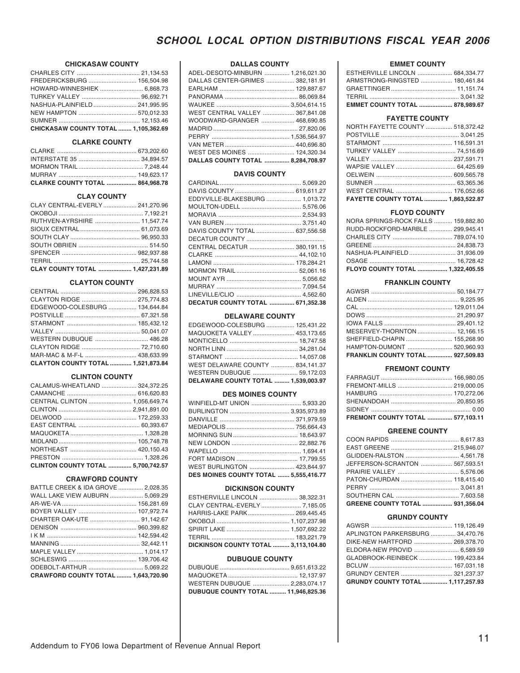## **CHICKASAW COUNTY**

| FREDERICKSBURG  156,504.98           |  |
|--------------------------------------|--|
| HOWARD-WINNESHIEK  6,868.73          |  |
|                                      |  |
| NASHUA-PLAINFIELD  241.995.95        |  |
|                                      |  |
|                                      |  |
| CHICKASAW COUNTY TOTAL  1,105,362.69 |  |

### **CLARKE COUNTY**

| CLARKE COUNTY TOTAL  864,968.78 |  |
|---------------------------------|--|

## **CLAY COUNTY**

| CLAY CENTRAL-EVERLY  241,270.96 |  |
|---------------------------------|--|
|                                 |  |
| RUTHVEN-AYRSHIRE  11,547.74     |  |
|                                 |  |
|                                 |  |
|                                 |  |
|                                 |  |
|                                 |  |
| CLAY COUNTY TOTAL  1,427,231.89 |  |

## **CLAYTON COUNTY**

| CLAYTON RIDGE  275,774.83          |  |
|------------------------------------|--|
| EDGEWOOD-COLESBURG  134,644.84     |  |
|                                    |  |
|                                    |  |
|                                    |  |
| WESTERN DUBUQUE  486.28            |  |
|                                    |  |
|                                    |  |
| CLAYTON COUNTY TOTAL  1,521,873.84 |  |

#### **CLINTON COUNTY**

| CALAMUS-WHEATLAND  324,372.25      |  |
|------------------------------------|--|
|                                    |  |
|                                    |  |
| CENTRAL CLINTON  1,056,649.74      |  |
|                                    |  |
|                                    |  |
|                                    |  |
|                                    |  |
|                                    |  |
|                                    |  |
|                                    |  |
| CLINTON COUNTY TOTAL  5,700,742.57 |  |

## **CRAWFORD COUNTY**

| BATTLE CREEK & IDA GROVE  2,028.35  |  |
|-------------------------------------|--|
| WALL LAKE VIEW AUBURN  5,069.29     |  |
|                                     |  |
| BOYER VALLEY  107,972.74            |  |
|                                     |  |
|                                     |  |
|                                     |  |
|                                     |  |
|                                     |  |
|                                     |  |
|                                     |  |
| CRAWFORD COUNTY TOTAL  1,643,720.90 |  |

## **DALLAS COUNTY**

| ADEL-DESOTO-MINBURN  1,216,021.30 |  |
|-----------------------------------|--|
| DALLAS CENTER-GRIMES  382,181.91  |  |
|                                   |  |
|                                   |  |
|                                   |  |
| WEST CENTRAL VALLEY  367,841.08   |  |
| WOODWARD-GRANGER  468,690.85      |  |
|                                   |  |
|                                   |  |
|                                   |  |
| WEST DES MOINES  124,320.34       |  |
| DALLAS COUNTY TOTAL  8,284,708.97 |  |

## **DAVIS COUNTY**

| EDDYVILLE-BLAKESBURG  1,013.72   |  |
|----------------------------------|--|
|                                  |  |
|                                  |  |
|                                  |  |
| DAVIS COUNTY TOTAL  637,556.58   |  |
|                                  |  |
| CENTRAL DECATUR  380,191.15      |  |
|                                  |  |
|                                  |  |
|                                  |  |
|                                  |  |
|                                  |  |
|                                  |  |
| DECATUR COUNTY TOTAL  671,352.38 |  |

#### **DELAWARE COUNTY**

| EDGEWOOD-COLESBURG  125,431.22      |  |
|-------------------------------------|--|
| MAQUOKETA VALLEY  453,173.65        |  |
|                                     |  |
|                                     |  |
|                                     |  |
| WEST DELAWARE COUNTY  834.141.37    |  |
| WESTERN DUBUQUE  59,172.03          |  |
| DELAWARE COUNTY TOTAL  1,539,003.97 |  |

#### **DES MOINES COUNTY**

| WINFIELD-MT UNION  5,933.20           |  |
|---------------------------------------|--|
|                                       |  |
|                                       |  |
|                                       |  |
|                                       |  |
|                                       |  |
|                                       |  |
|                                       |  |
|                                       |  |
| WEST BURLINGTON  423,844.97           |  |
| DES MOINES COUNTY TOTAL  5,555,416.77 |  |

#### **DICKINSON COUNTY**

| ESTHERVILLE LINCOLN  38,322.31       |  |
|--------------------------------------|--|
| CLAY CENTRAL-EVERLY  7,185.05        |  |
| HARRIS-LAKE PARK 269,445.45          |  |
|                                      |  |
|                                      |  |
|                                      |  |
| DICKINSON COUNTY TOTAL  3,113,104.80 |  |

#### **DUBUQUE COUNTY**

| <b>DUBUQUE COUNTY TOTAL  11,946,825.36</b> |  |
|--------------------------------------------|--|

## **EMMET COUNTY**

| EMMET COUNTY TOTAL  878,989.67  |  |
|---------------------------------|--|
|                                 |  |
|                                 |  |
| ARMSTRONG-RINGSTED  180,461.84  |  |
| ESTHERVILLE LINCOLN  684,334.77 |  |

## **FAYETTE COUNTY**

| NORTH FAYETTE COUNTY  518,372.42   |  |
|------------------------------------|--|
|                                    |  |
|                                    |  |
| TURKEY VALLEY  74,516.69           |  |
|                                    |  |
|                                    |  |
|                                    |  |
|                                    |  |
| WEST CENTRAL  176,052.66           |  |
| FAYETTE COUNTY TOTAL  1,863,522.87 |  |
|                                    |  |

## **FLOYD COUNTY**

| NORA SPRINGS-ROCK FALLS  159,882.80 |  |
|-------------------------------------|--|
| RUDD-ROCKFORD-MARBLE  299,945.41    |  |
|                                     |  |
|                                     |  |
| NASHUA-PLAINFIELD  31,936.09        |  |
|                                     |  |
| FLOYD COUNTY TOTAL  1,322,405.55    |  |
|                                     |  |

#### **FRANKLIN COUNTY**

| MESERVEY-THORNTON  12,166.15      |  |
|-----------------------------------|--|
| SHEFFIELD-CHAPIN  155,268.90      |  |
| HAMPTON-DUMONT  520,960.93        |  |
| FRANKLIN COUNTY TOTAL  927,509.83 |  |
|                                   |  |

## **FREMONT COUNTY**

| FREMONT COUNTY TOTAL  577,103.11 |  |
|----------------------------------|--|
|                                  |  |
|                                  |  |
|                                  |  |
| FREMONT-MILLS  219,000.05        |  |
|                                  |  |

#### **GREENE COUNTY**

| GLIDDEN-RALSTON  4,561.78       |  |
|---------------------------------|--|
| JEFFERSON-SCRANTON  567,593.51  |  |
|                                 |  |
| PATON-CHURDAN  118.415.40       |  |
|                                 |  |
|                                 |  |
| GREENE COUNTY TOTAL  931,356.04 |  |
|                                 |  |

#### **GRUNDY COUNTY**

| APLINGTON PARKERSBURG  34,470.76 |  |
|----------------------------------|--|
| DIKE-NEW HARTFORD  269,378.70    |  |
| ELDORA-NEW PROVID  6,589.59      |  |
| GLADBROOK-REINBECK  199,423.84   |  |
|                                  |  |
|                                  |  |
| GRUNDY COUNTY TOTAL 1,117,257.93 |  |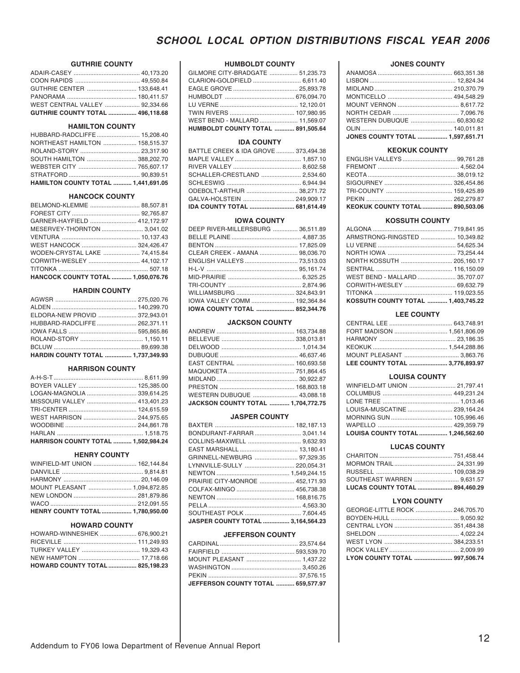## **GUTHRIE COUNTY**

| GUTHRIE COUNTY TOTAL  496,118.68 |  |
|----------------------------------|--|
| WEST CENTRAL VALLEY  92.334.66   |  |
|                                  |  |
| GUTHRIE CENTER  133.648.41       |  |
|                                  |  |
|                                  |  |

## **HAMILTON COUNTY**

| HUBBARD-RADCLIFFE  15,208.40               |  |
|--------------------------------------------|--|
| NORTHEAST HAMILTON  158,515.37             |  |
|                                            |  |
|                                            |  |
|                                            |  |
|                                            |  |
| <b>HAMILTON COUNTY TOTAL  1,441,691.05</b> |  |

## **HANCOCK COUNTY**

| BELMOND-KLEMME  88,507.81          |  |
|------------------------------------|--|
|                                    |  |
| GARNER-HAYFIELD  412,172.97        |  |
| MESERVEY-THORNTON  3,041.02        |  |
|                                    |  |
| WEST HANCOCK  324,426.47           |  |
| WODEN-CRYSTAL LAKE  74,415.84      |  |
|                                    |  |
|                                    |  |
| HANCOCK COUNTY TOTAL  1,050,076.76 |  |

## **HARDIN COUNTY**

| ELDORA-NEW PROVID  372,943.01            |  |
|------------------------------------------|--|
| HUBBARD-RADCLIFFE  262,371.11            |  |
|                                          |  |
|                                          |  |
|                                          |  |
| <b>HARDIN COUNTY TOTAL  1.737.349.93</b> |  |

## **HARRISON COUNTY**

| BOYER VALLEY  125,385.00                   |  |
|--------------------------------------------|--|
| LOGAN-MAGNOLIA  339,614.25                 |  |
| MISSOURI VALLEY  413,401.23                |  |
|                                            |  |
| WEST HARRISON  244,975.65                  |  |
|                                            |  |
|                                            |  |
| <b>HARRISON COUNTY TOTAL  1,502,984.24</b> |  |

#### **HENRY COUNTY**

| WINFIELD-MT UNION  162,144.84    |  |
|----------------------------------|--|
|                                  |  |
|                                  |  |
| MOUNT PLEASANT  1,094,872.85     |  |
|                                  |  |
|                                  |  |
| HENRY COUNTY TOTAL  1,780,950.00 |  |

#### **HOWARD COUNTY**

| HOWARD-WINNESHIEK  676,900.21   |  |
|---------------------------------|--|
|                                 |  |
| TURKEY VALLEY  19,329.43        |  |
|                                 |  |
| HOWARD COUNTY TOTAL  825,198.23 |  |

#### **HUMBOLDT COUNTY**

| GILMORE CITY-BRADGATE  51,235.73  |
|-----------------------------------|
| CLARION-GOLDFIELD  6,611.40       |
|                                   |
|                                   |
|                                   |
|                                   |
| WEST BEND - MALLARD  11,569.07    |
| HUMBOLDT COUNTY TOTAL  891,505.64 |
|                                   |

## **IDA COUNTY**

| BATTLE CREEK & IDA GROVE  373,494.38 |  |
|--------------------------------------|--|
|                                      |  |
|                                      |  |
| SCHALLER-CRESTLAND  2,534.60         |  |
|                                      |  |
| ODEBOLT-ARTHUR  38,271.72            |  |
| GALVA-HOLSTEIN  249,909.17           |  |
| IDA COUNTY TOTAL  681,614.49         |  |

#### **IOWA COUNTY**

| DEEP RIVER-MILLERSBURG  36,511.89 |
|-----------------------------------|
|                                   |
|                                   |
| CLEAR CREEK - AMANA  98,036.70    |
| ENGLISH VALLEYS  73,513.03        |
|                                   |
|                                   |
|                                   |
| WILLIAMSBURG  324,843.91          |
| IOWA VALLEY COMM  192,364.84      |
| IOWA COUNTY TOTAL  852,344.76     |
|                                   |

## **JACKSON COUNTY**

| EAST CENTRAL  160,693.58           |
|------------------------------------|
|                                    |
|                                    |
|                                    |
| WESTERN DUBUQUE  43,088.18         |
| JACKSON COUNTY TOTAL  1,704,772.75 |
|                                    |

## **JASPER COUNTY**

| BONDURANT-FARRAR  3,041.14        |  |
|-----------------------------------|--|
|                                   |  |
|                                   |  |
| GRINNELL-NEWBURG  97,329.35       |  |
| LYNNVILLE-SULLY  220,054.31       |  |
|                                   |  |
| PRAIRIE CITY-MONROE  452,171.93   |  |
| COLFAX-MINGO  456,738.38          |  |
|                                   |  |
|                                   |  |
|                                   |  |
| JASPER COUNTY TOTAL  3,164,564.23 |  |

#### **JEFFERSON COUNTY**

| JEFFERSON COUNTY TOTAL  659,577.97 |  |
|------------------------------------|--|
|                                    |  |
|                                    |  |
| MOUNT PLEASANT  1,437.22           |  |
|                                    |  |
|                                    |  |
|                                    |  |

### **JONES COUNTY**

| <b>JONES COUNTY TOTAL  1,597,651.71</b> |  |
|-----------------------------------------|--|
|                                         |  |
| WESTERN DUBUQUE  60,830.62              |  |
|                                         |  |
|                                         |  |
|                                         |  |
|                                         |  |
|                                         |  |
|                                         |  |

### **KEOKUK COUNTY**

| KEOKUK COUNTY TOTAL  890,503.06 |  |
|---------------------------------|--|
|                                 |  |
|                                 |  |
|                                 |  |
|                                 |  |
|                                 |  |
| ENGLISH VALLEYS  99,761.28      |  |

## **KOSSUTH COUNTY**

| ARMSTRONG-RINGSTED  10,349.82      |  |
|------------------------------------|--|
|                                    |  |
|                                    |  |
| NORTH KOSSUTH  205,160.17          |  |
|                                    |  |
| WEST BEND - MALLARD  35,707.07     |  |
| CORWITH-WESLEY  69,632.79          |  |
|                                    |  |
| KOSSUTH COUNTY TOTAL  1,403,745.22 |  |

#### **LEE COUNTY**

| <b>LEE COUNTY TOTAL  3,776,893.97</b> |  |
|---------------------------------------|--|
| MOUNT PLEASANT  3,863.76              |  |
|                                       |  |
|                                       |  |
| FORT MADISON  1,561,806.09            |  |
|                                       |  |

### **LOUISA COUNTY**

| WINFIELD-MT UNION  21,797.41      |  |
|-----------------------------------|--|
|                                   |  |
|                                   |  |
| LOUISA-MUSCATINE  239,164.24      |  |
|                                   |  |
|                                   |  |
| LOUISA COUNTY TOTAL  1,246,562.60 |  |

#### **LUCAS COUNTY**

| LUCAS COUNTY TOTAL  894,460.29 |  |
|--------------------------------|--|
| SOUTHEAST WARREN  9,631.57     |  |
|                                |  |
|                                |  |
|                                |  |

## **LYON COUNTY**

| <b>LYON COUNTY TOTAL  997,506.74</b> |  |
|--------------------------------------|--|
|                                      |  |
|                                      |  |
|                                      |  |
| CENTRAL LYON  351,484.38             |  |
|                                      |  |
| GEORGE-LITTLE ROCK  246,705.70       |  |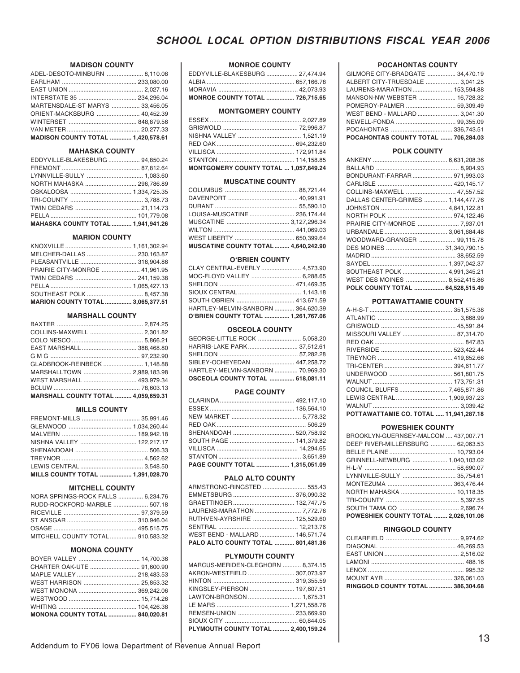## **MADISON COUNTY**

| ADEL-DESOTO-MINBURN  8,110.08             |  |
|-------------------------------------------|--|
|                                           |  |
|                                           |  |
|                                           |  |
| MARTENSDALE-ST MARYS  33.456.05           |  |
| ORIENT-MACKSBURG  40,452.39               |  |
|                                           |  |
|                                           |  |
| <b>MADISON COUNTY TOTAL  1.420.578.61</b> |  |

#### **MAHASKA COUNTY**

| EDDYVILLE-BLAKESBURG  94,850.24    |  |
|------------------------------------|--|
|                                    |  |
| LYNNVILLE-SULLY  1,083.60          |  |
| NORTH MAHASKA  296,786.89          |  |
|                                    |  |
|                                    |  |
|                                    |  |
|                                    |  |
| MAHASKA COUNTY TOTAL  1,941,941.26 |  |

#### **MARION COUNTY**

| MELCHER-DALLAS  230,163.87               |  |
|------------------------------------------|--|
|                                          |  |
|                                          |  |
|                                          |  |
|                                          |  |
|                                          |  |
| <b>MARION COUNTY TOTAL  3,065,377.51</b> |  |

## **MARSHALL COUNTY**

| COLLINS-MAXWELL  2,301.82                  |  |
|--------------------------------------------|--|
|                                            |  |
| EAST MARSHALL  388,468.80                  |  |
| G M G …………………………………………… 97,232.90          |  |
| GLADBROOK-REINBECK  1,148.88               |  |
| MARSHALLTOWN  2,989,183.98                 |  |
| WEST MARSHALL  493,979.34                  |  |
|                                            |  |
| <b>MARSHALL COUNTY TOTAL  4.059.659.31</b> |  |

#### **MILLS COUNTY**

| MILLS COUNTY TOTAL  1,391,028.70 |  |
|----------------------------------|--|

#### **MITCHELL COUNTY**

| NORA SPRINGS-ROCK FALLS  6,234.76 |  |
|-----------------------------------|--|
| RUDD-ROCKFORD-MARBLE  507.18      |  |
|                                   |  |
|                                   |  |
|                                   |  |
| MITCHELL COUNTY TOTAL  910,583.32 |  |

#### **MONONA COUNTY**

| MONONA COUNTY TOTAL  840,020.81 |  |
|---------------------------------|--|
|                                 |  |
|                                 |  |
|                                 |  |
| WEST HARRISON  25,853.32        |  |
|                                 |  |
|                                 |  |
|                                 |  |

#### **MONROE COUNTY**

| <b>MONROE COUNTY TOTAL  726,715.65</b> |  |
|----------------------------------------|--|
|                                        |  |
|                                        |  |
| EDDYVILLE-BLAKESBURG  27,474.94        |  |

#### **MONTGOMERY COUNTY**

| MONTGOMERY COUNTY TOTAL  1,057,849.24 |  |
|---------------------------------------|--|
|                                       |  |
|                                       |  |
|                                       |  |
|                                       |  |
|                                       |  |
|                                       |  |

### **MUSCATINE COUNTY**

| LOUISA-MUSCATINE  236,174.44                |  |
|---------------------------------------------|--|
|                                             |  |
|                                             |  |
|                                             |  |
| <b>MUSCATINE COUNTY TOTAL  4,640,242.90</b> |  |
|                                             |  |

## **O'BRIEN COUNTY**

| O'BRIEN COUNTY TOTAL  1,261,767.06 |  |
|------------------------------------|--|
| HARTLEY-MELVIN-SANBORN  364.620.39 |  |
|                                    |  |
|                                    |  |
|                                    |  |
| MOC-FLOYD VALLEY  6,288.65         |  |
| CLAY CENTRAL-EVERLY  4,573.90      |  |

#### **OSCEOLA COUNTY**

| <b>OSCEOLA COUNTY TOTAL  618,081.11</b> |  |
|-----------------------------------------|--|
| HARTLEY-MELVIN-SANBORN  70,969.30       |  |
| SIBLEY-OCHEYEDAN  447,258.72            |  |
|                                         |  |
| HARRIS-LAKE PARK 37,512.61              |  |
| GEORGE-LITTLE ROCK  5,058.20            |  |

#### **PAGE COUNTY**

| PAGE COUNTY TOTAL  1,315,051.09 |  |
|---------------------------------|--|

#### **PALO ALTO COUNTY**

| ARMSTRONG-RINGSTED  555.43         |  |
|------------------------------------|--|
|                                    |  |
|                                    |  |
|                                    |  |
| RUTHVEN-AYRSHIRE  125.529.60       |  |
|                                    |  |
| WEST BEND - MALLARD  146.571.74    |  |
| PALO ALTO COUNTY TOTAL  801,481.36 |  |

#### **PLYMOUTH COUNTY**

| MARCUS-MERIDEN-CLEGHORN  8,374.15   |  |
|-------------------------------------|--|
| AKRON-WESTFIELD  307,073.97         |  |
|                                     |  |
| KINGSLEY-PIERSON  197,607.51        |  |
| LAWTON-BRONSON  1,675.31            |  |
|                                     |  |
|                                     |  |
|                                     |  |
| PLYMOUTH COUNTY TOTAL  2.400.159.24 |  |
|                                     |  |

#### **POCAHONTAS COUNTY**

| GILMORE CITY-BRADGATE  34,470.19    |
|-------------------------------------|
| ALBERT CITY-TRUESDALE  3,041.25     |
| LAURENS-MARATHON  153,594.88        |
| MANSON-NW WEBSTER  16,728.32        |
| POMEROY-PALMER  59,309.49           |
| WEST BEND - MALLARD  3,041.30       |
|                                     |
|                                     |
| POCAHONTAS COUNTY TOTAL  706,284.03 |
|                                     |

### **POLK COUNTY**

| BONDURANT-FARRAR 971,993.03        |  |
|------------------------------------|--|
|                                    |  |
| COLLINS-MAXWELL  47,557.52         |  |
| DALLAS CENTER-GRIMES  1,144,477.76 |  |
|                                    |  |
|                                    |  |
| PRAIRIE CITY-MONROE  7,937.01      |  |
|                                    |  |
| WOODWARD-GRANGER  99,115.78        |  |
| DES MOINES  31,340,790.15          |  |
|                                    |  |
|                                    |  |
| SOUTHEAST POLK  4,991,345.21       |  |
| WEST DES MOINES  8,552,415.86      |  |
| POLK COUNTY TOTAL  64,528,515.49   |  |

## **POTTAWATTAMIE COUNTY**

| LEWIS CENTRAL  1,909,937.23            |  |
|----------------------------------------|--|
|                                        |  |
| POTTAWATTAMIE CO. TOTAL  11,941,287.18 |  |

#### **POWESHIEK COUNTY**

| BROOKLYN-GUERNSEY-MALCOM  437,007.71 |  |
|--------------------------------------|--|
| DEEP RIVER-MILLERSBURG  62,063.53    |  |
|                                      |  |
| GRINNELL-NEWBURG  1,040,103.02       |  |
|                                      |  |
| LYNNVILLE-SULLY  35,754.61           |  |
|                                      |  |
| NORTH MAHASKA  10,118.35             |  |
|                                      |  |
|                                      |  |
| POWESHIEK COUNTY TOTAL  2.026.101.06 |  |

#### **RINGGOLD COUNTY**

| RINGGOLD COUNTY TOTAL  386,304.68 |  |
|-----------------------------------|--|
|                                   |  |
|                                   |  |
|                                   |  |
|                                   |  |
|                                   |  |
|                                   |  |